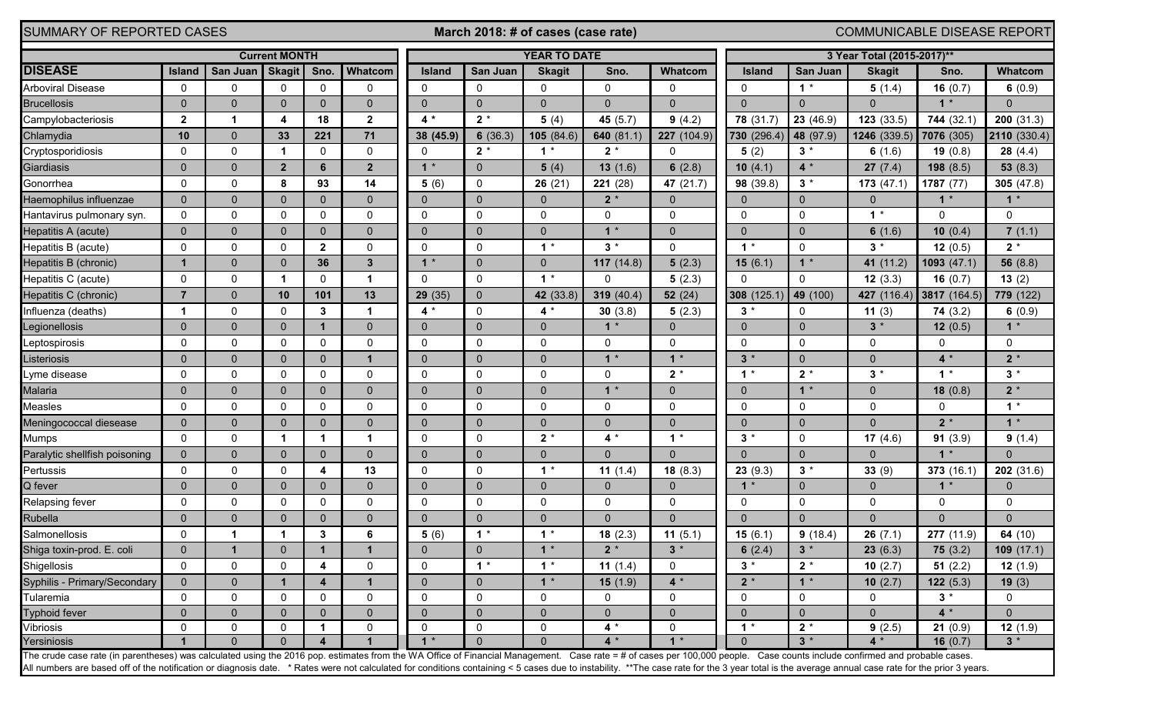## SUMMARY OF REPORTED MARY MARY OF REPORTED ASSESS (Case rate) And the COMMUNICABLE DISEASE REPORTED SEASE REPORT **March 2018: # of cases (case rate)**

|                                                                                                                                                                                                                                                                                                                                                                                                                                                              | <b>Current MONTH</b> |              |                      |                       | <b>YEAR TO DATE</b> |               |                 |               | 3 Year Total (2015-2017)** |                |                |                |               |              |                |
|--------------------------------------------------------------------------------------------------------------------------------------------------------------------------------------------------------------------------------------------------------------------------------------------------------------------------------------------------------------------------------------------------------------------------------------------------------------|----------------------|--------------|----------------------|-----------------------|---------------------|---------------|-----------------|---------------|----------------------------|----------------|----------------|----------------|---------------|--------------|----------------|
| <b>DISEASE</b>                                                                                                                                                                                                                                                                                                                                                                                                                                               | <b>Island</b>        | San Juan     | <b>Skagit</b>        | Sno.                  | Whatcom             | <b>Island</b> | <b>San Juan</b> | <b>Skagit</b> | Sno.                       | Whatcom        | <b>Island</b>  | San Juan       | <b>Skagit</b> | Sno.         | Whatcom        |
| <b>Arboviral Disease</b>                                                                                                                                                                                                                                                                                                                                                                                                                                     | $\mathbf{0}$         | 0            | <sup>0</sup>         | $\Omega$              | $\mathbf{0}$        | $\mathbf{0}$  | 0               | $\Omega$      | 0                          | 0              | 0              | $1*$           | 5(1.4)        | 16 $(0.7)$   | 6(0.9)         |
| <b>Brucellosis</b>                                                                                                                                                                                                                                                                                                                                                                                                                                           | $\Omega$             | $\Omega$     | $\mathbf{0}$         | $\theta$              | $\Omega$            | $\mathbf{0}$  | $\Omega$        | $\Omega$      | $\overline{0}$             | $\Omega$       | $\Omega$       | $\mathbf{0}$   | $\Omega$      | $1 *$        | $\Omega$       |
| Campylobacteriosis                                                                                                                                                                                                                                                                                                                                                                                                                                           | $\mathbf 2$          | 1            | 4                    | 18                    | $\mathbf{2}$        | $4*$          | $2*$            | 5(4)          | 45 $(5.7)$                 | 9(4.2)         | 78(31.7)       | 23(46.9)       | 123(33.5)     | 744(32.1)    | 200(31.3)      |
| Chlamydia                                                                                                                                                                                                                                                                                                                                                                                                                                                    | 10                   | $\mathbf{0}$ | 33                   | 221                   | 71                  | 38 (45.9)     | 6(36.3)         | 105(84.6)     | 640 $(81.1)$               | 227 (104.9)    | 730 (296.4)    | 48 (97.9)      | 1246 (339.5)  | 7076 (305)   | 2110 (330.4)   |
| Cryptosporidiosis                                                                                                                                                                                                                                                                                                                                                                                                                                            | $\mathbf{0}$         | $\Omega$     |                      | $\mathbf{0}$          | $\mathbf{0}$        | $\Omega$      | $2^*$           | $1*$          | $2^*$                      | $\Omega$       | 5(2)           | $3^*$          | 6(1.6)        | 19(0.8)      | 28(4.4)        |
| Giardiasis                                                                                                                                                                                                                                                                                                                                                                                                                                                   | $\Omega$             | $\mathbf{0}$ | $\overline{2}$       | 6                     | $\mathbf{2}$        | $1*$          | $\mathbf{0}$    | 5(4)          | 13(1.6)                    | 6(2.8)         | 10 $(4.1)$     | $4 *$          | 27(7.4)       | 198(8.5)     | 53 $(8.3)$     |
| Gonorrhea                                                                                                                                                                                                                                                                                                                                                                                                                                                    | $\Omega$             | 0            | 8                    | 93                    | 14                  | 5(6)          | $\mathbf 0$     | 26(21)        | 221(28)                    | 47 (21.7)      | 98 (39.8)      | $3*$           | 173(47.1)     | 1787 (77)    | 305 $(47.8)$   |
| Haemophilus influenzae                                                                                                                                                                                                                                                                                                                                                                                                                                       | $\Omega$             | $\Omega$     | $\Omega$             | $\theta$              | $\Omega$            | $\Omega$      | $\Omega$        | $\Omega$      | $2*$                       | $\Omega$       | $\mathbf{0}$   | $\mathbf{0}$   | $\mathbf{0}$  | $1*$         | $1*$           |
| Hantavirus pulmonary syn.                                                                                                                                                                                                                                                                                                                                                                                                                                    | $\mathbf{0}$         | 0            | $\mathbf{0}$         | 0                     | 0                   | 0             | 0               | $\Omega$      | 0                          | $\Omega$       | 0              | $\mathbf 0$    | $1*$          | 0            | $\mathbf 0$    |
| Hepatitis A (acute)                                                                                                                                                                                                                                                                                                                                                                                                                                          | $\mathbf{0}$         | $\mathbf{0}$ | $\overline{0}$       | $\mathbf{0}$          | $\mathbf{0}$        | $\mathbf{0}$  | $\mathbf{0}$    | $\mathbf{0}$  | $1*$                       | $\overline{0}$ | $\overline{0}$ | $\mathbf 0$    | 6(1.6)        | 10(0.4)      | 7(1.1)         |
| Hepatitis B (acute)                                                                                                                                                                                                                                                                                                                                                                                                                                          | $\Omega$             | $\Omega$     | $\mathbf{0}$         | $\mathbf{2}$          | $\mathbf{0}$        | $\mathbf{0}$  | 0               | $1*$          | $3*$                       | $\Omega$       | $1*$           | $\mathbf 0$    | $3^*$         | 12 $(0.5)$   | $2^*$          |
| Hepatitis B (chronic)                                                                                                                                                                                                                                                                                                                                                                                                                                        |                      | $\mathbf{0}$ | $\mathbf{0}$         | 36                    | $\mathbf{3}$        | $1*$          | $\mathbf{0}$    | $\Omega$      | 117 $(14.8)$               | 5(2.3)         | 15(6.1)        | $1*$           | 41 (11.2)     | 1093(47.1)   | 56 $(8.8)$     |
| Hepatitis C (acute)                                                                                                                                                                                                                                                                                                                                                                                                                                          | $\Omega$             | 0            | $\blacktriangleleft$ | $\Omega$              | $\mathbf{1}$        | $\mathbf{0}$  | $\mathbf 0$     | $1*$          | $\Omega$                   | 5(2.3)         | $\mathbf{0}$   | $\mathbf{0}$   | 12(3.3)       | 16 $(0.7)$   | 13(2)          |
| Hepatitis C (chronic)                                                                                                                                                                                                                                                                                                                                                                                                                                        | $\overline{7}$       | $\mathbf{0}$ | 10                   | 101                   | 13                  | 29(35)        | $\mathbf{0}$    | 42 (33.8)     | 319 $(40.4)$               | 52(24)         | 308 (125.1)    | 49 (100)       | 427 (116.4)   | 3817 (164.5) | 779 (122)      |
| Influenza (deaths)                                                                                                                                                                                                                                                                                                                                                                                                                                           |                      | 0            | 0                    | 3                     | $\mathbf 1$         | $4*$          | 0               | $4*$          | 30 $(3.8)$                 | 5(2.3)         | $3^*$          | 0              | 11 $(3)$      | 74(3.2)      | 6(0.9)         |
| Legionellosis                                                                                                                                                                                                                                                                                                                                                                                                                                                | $\Omega$             | $\mathbf{0}$ | $\mathbf{0}$         |                       | $\mathbf{0}$        | $\mathbf{0}$  | $\mathbf{0}$    | $\mathbf{0}$  | $1*$                       | $\mathbf{0}$   | $\mathbf 0$    | $\mathbf{0}$   | $3 *$         | 12(0.5)      | $1*$           |
| Leptospirosis                                                                                                                                                                                                                                                                                                                                                                                                                                                | $\Omega$             | 0            | $\mathbf{0}$         | $\Omega$              | $\mathbf{0}$        | $\mathbf{0}$  | 0               | $\Omega$      | $\mathbf 0$                | $\mathbf{0}$   | 0              | $\mathbf 0$    | $\mathbf 0$   | $\mathbf{0}$ | $\mathbf 0$    |
| Listeriosis                                                                                                                                                                                                                                                                                                                                                                                                                                                  | $\Omega$             | $\mathbf{0}$ | $\mathbf{0}$         | $\mathbf{0}$          | $\mathbf{1}$        | $\mathbf{0}$  | $\mathbf{0}$    | $\Omega$      | $1*$                       | $1 *$          | $3 *$          | $\mathbf 0$    | $\mathbf 0$   | $4 *$        | $2^*$          |
| yme disease                                                                                                                                                                                                                                                                                                                                                                                                                                                  | $\Omega$             | 0            | $\Omega$             | $\Omega$              | $\mathbf{0}$        | $\mathbf{0}$  | 0               | $\Omega$      | 0                          | $2^*$          | $1 *$          | $2 *$          | $3 *$         | $1 *$        | $3^*$          |
| Malaria                                                                                                                                                                                                                                                                                                                                                                                                                                                      | $\Omega$             | $\Omega$     | $\Omega$             | $\Omega$              | $\Omega$            | $\mathbf{0}$  | $\overline{0}$  | $\Omega$      | $1*$                       | $\overline{0}$ | $\mathbf{0}$   | $1*$           | $\mathbf 0$   | 18(0.8)      | $2^*$          |
| Measles                                                                                                                                                                                                                                                                                                                                                                                                                                                      | $\mathbf{0}$         | 0            | $\mathbf{0}$         | $\mathbf 0$           | $\Omega$            | $\mathbf 0$   | 0               | $\Omega$      | 0                          | $\mathbf{0}$   | 0              | $\mathbf 0$    | $\mathbf 0$   | 0            | $1*$           |
| Meningococcal diesease                                                                                                                                                                                                                                                                                                                                                                                                                                       | $\Omega$             | $\mathbf{0}$ | $\mathbf{0}$         | $\mathbf{0}$          | $\mathbf{0}$        | $\mathbf{0}$  | $\mathbf{0}$    | $\Omega$      | $\mathbf 0$                | $\Omega$       | $\mathbf 0$    | $\overline{0}$ | $\Omega$      | $2^*$        | $1*$           |
| <b>Mumps</b>                                                                                                                                                                                                                                                                                                                                                                                                                                                 | $\mathbf{0}$         | 0            | $\mathbf 1$          | -1                    | $\mathbf 1$         | $\mathbf 0$   | 0               | $2^*$         | $4 *$                      | $1^*$          | $3 *$          | $\mathbf 0$    | 17 $(4.6)$    | 91(3.9)      | 9(1.4)         |
| Paralytic shellfish poisoning                                                                                                                                                                                                                                                                                                                                                                                                                                | $\mathbf{0}$         | $\mathbf{0}$ | $\mathbf{0}$         | $\theta$              | $\Omega$            | $\mathbf{0}$  | $\mathbf{0}$    | $\Omega$      | $\mathbf{0}$               | $\Omega$       | $\Omega$       | $\mathbf{0}$   | $\mathbf{0}$  | $1*$         | $\Omega$       |
| Pertussis                                                                                                                                                                                                                                                                                                                                                                                                                                                    | $\Omega$             | $\Omega$     | $\Omega$             | 4                     | 13                  | $\mathbf{0}$  | 0               | $1*$          | 11 $(1.4)$                 | 18(8.3)        | 23(9.3)        | $3 *$          | 33(9)         | 373(16.1)    | 202(31.6)      |
| Q fever                                                                                                                                                                                                                                                                                                                                                                                                                                                      | $\Omega$             | $\mathbf 0$  | $\Omega$             | $\mathbf{0}$          | $\Omega$            | $\mathbf{0}$  | $\mathbf{0}$    | $\mathbf 0$   | $\overline{0}$             | $\overline{0}$ | $1*$           | $\mathbf{0}$   | $\mathbf 0$   | $1*$         | $\mathbf{0}$   |
| <b>Relapsing fever</b>                                                                                                                                                                                                                                                                                                                                                                                                                                       | $\Omega$             | $\mathbf{0}$ | $\mathbf{0}$         | $\mathbf{0}$          | $\mathbf{0}$        | $\mathbf{0}$  | 0               | $\Omega$      | 0                          | $\mathbf{0}$   | 0              | 0              | $\mathbf 0$   | $\mathbf 0$  | $\mathbf 0$    |
| Rubella                                                                                                                                                                                                                                                                                                                                                                                                                                                      | $\Omega$             | $\mathbf{0}$ | $\mathbf{0}$         | $\Omega$              | $\mathbf{0}$        | $\mathbf{0}$  | $\mathbf{0}$    | $\Omega$      | $\mathbf 0$                | $\Omega$       | $\Omega$       | $\mathbf{0}$   | $\mathbf{0}$  | $\Omega$     | $\mathbf{0}$   |
| Salmonellosis                                                                                                                                                                                                                                                                                                                                                                                                                                                | $\mathbf{0}$         | 1            |                      | 3                     | 6                   | 5(6)          | $1*$            | $1*$          | 18(2.3)                    | 11 $(5.1)$     | 15 $(6.1)$     | 9(18.4)        | 26(7.1)       | 277 (11.9)   | 64 (10)        |
| Shiga toxin-prod. E. coli                                                                                                                                                                                                                                                                                                                                                                                                                                    | $\mathbf{0}$         | -1           | $\overline{0}$       |                       | $\mathbf{1}$        | $\Omega$      | $\overline{0}$  | $1*$          | $2*$                       | $3 *$          | 6 $(2.4)$      | $3*$           | 23(6.3)       | 75(3.2)      | 109(17.1)      |
| Shigellosis                                                                                                                                                                                                                                                                                                                                                                                                                                                  | $\bf{0}$             | 0            |                      | 4                     | 0                   | $\mathbf{0}$  | $1*$            | $1*$          | <b>11</b> $(1.4)$          | 0              | $3^{\circ}$    | $2^{\star}$    | 10(2.7)       | 51 $(2.2)$   | 12 $(1.9)$     |
| Syphilis - Primary/Secondary                                                                                                                                                                                                                                                                                                                                                                                                                                 | $\mathbf{0}$         | $\mathbf 0$  | $\mathbf{1}$         | $\boldsymbol{\Delta}$ | $\mathbf{1}$        | $\mathbf{0}$  | $\overline{0}$  | $1 *$         | 15(1.9)                    | $4 *$          | $2*$           | $1 *$          | 10 $(2.7)$    | 122 $(5.3)$  | 19(3)          |
| Tularemia                                                                                                                                                                                                                                                                                                                                                                                                                                                    | $\mathbf 0$          | 0            | $\mathbf{0}$         | $\Omega$              | $\Omega$            | $\mathbf{0}$  | $\mathbf{0}$    | $\mathbf 0$   | $\mathbf{0}$               | $\mathbf{0}$   | 0              | $\mathbf 0$    | 0             | $3 *$        | $\mathbf{0}$   |
| <b>Typhoid fever</b>                                                                                                                                                                                                                                                                                                                                                                                                                                         | $\mathbf 0$          | $\mathbf{0}$ | $\mathbf{0}$         | $\mathbf{0}$          | $\mathbf{0}$        | $\mathbf{0}$  | $\mathbf{0}$    | $\Omega$      | $\overline{0}$             | $\Omega$       | $\overline{0}$ | $\mathbf{0}$   | $\mathbf{0}$  | $4 *$        | $\overline{0}$ |
| Vibriosis                                                                                                                                                                                                                                                                                                                                                                                                                                                    | $\mathbf 0$          | 0            | 0                    |                       | 0                   | 0             | 0               | 0             | $4 *$                      | $\Omega$       | $1*$           | $2^*$          | 9(2.5)        | 21(0.9)      | 12 $(1.9)$     |
| Yersiniosis                                                                                                                                                                                                                                                                                                                                                                                                                                                  |                      | $\Omega$     | $\Omega$             |                       |                     | $1*$          | $\mathbf{0}$    | $\mathbf{0}$  | $4*$                       | $1 *$          | $\overline{0}$ | $3*$           | $4*$          | 16 $(0.7)$   | $3^*$          |
| The crude case rate (in parentheses) was calculated using the 2016 pop. estimates from the WA Office of Financial Management. Case rate = # of cases per 100,000 people. Case counts include confirmed and probable cases.<br>All numbers are based off of the notification or diagnosis date. * Rates were not calculated for conditions containing < 5 cases due to instability. ** The case rate for the 3 year total is the average annual case rate for |                      |              |                      |                       |                     |               |                 |               |                            |                |                |                |               |              |                |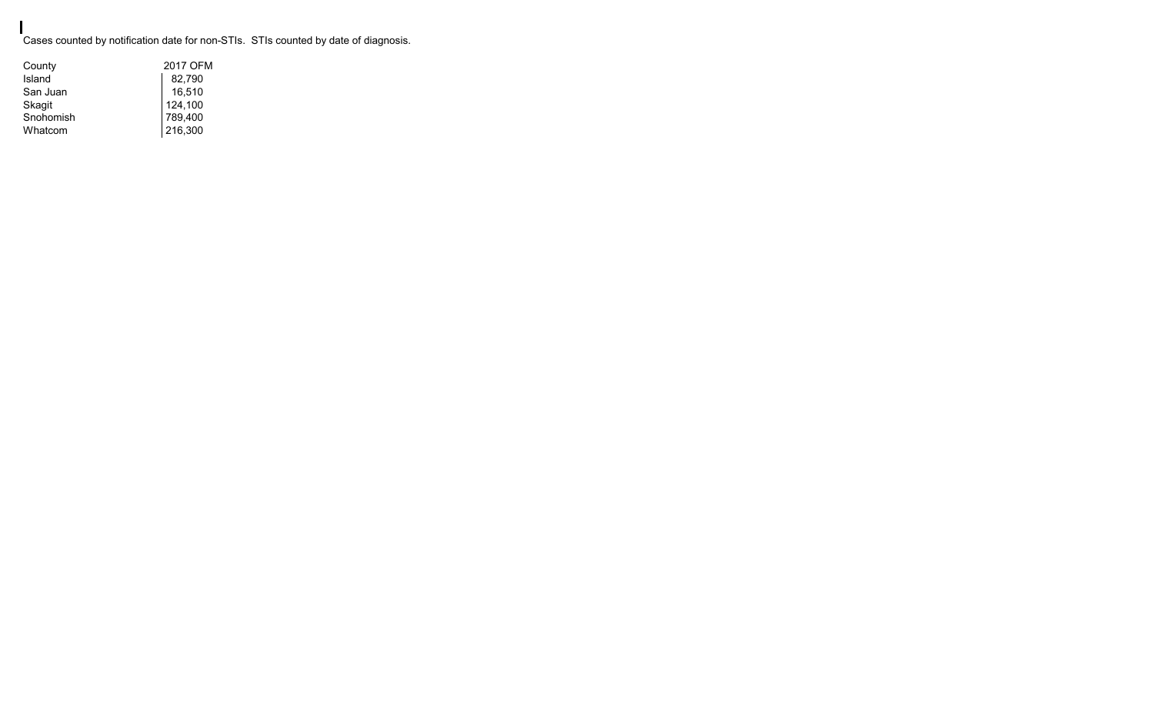Cases counted by notification date for non-STIs. STIs counted by date of diagnosis.

| County    | 2017 OFM |  |
|-----------|----------|--|
| Island    | 82.790   |  |
| San Juan  | 16.510   |  |
| Skagit    | 124.100  |  |
| Snohomish | 789.400  |  |
| Whatcom   | 216,300  |  |